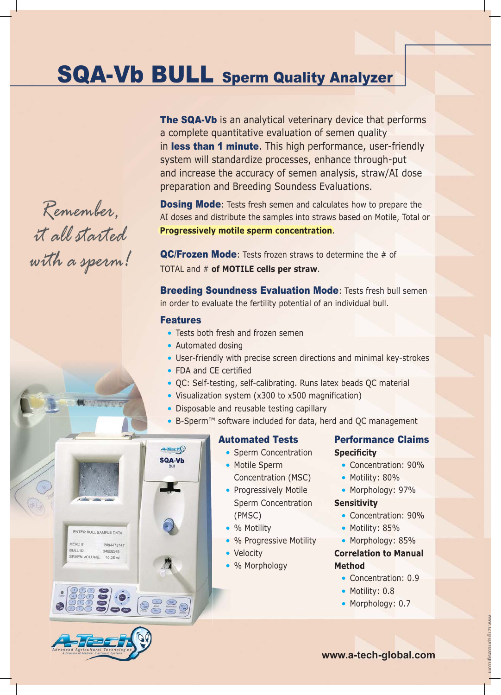## SQA-Vb BULL Sperm Quality Analyzer

The SQA-Vb is an analytical veterinary device that performs a complete quantitative evaluation of semen quality in less than 1 minute. This high performance, user-friendly system will standardize processes, enhance through-put and increase the accuracy of semen analysis, straw/AI dose preparation and Breeding Soundess Evaluations.

**Dosing Mode:** Tests fresh semen and calculates how to prepare the AI doses and distribute the samples into straws based on Motile, Total or **Progressively motile sperm concentration**.

**QC/Frozen Mode:** Tests frozen straws to determine the # of TOTAL and # **of MOTILE cells per straw**.

**Breeding Soundness Evaluation Mode: Tests fresh bull semen** in order to evaluate the fertility potential of an individual bull.

#### Features

- Tests both fresh and frozen semen
- Automated dosing
- User-friendly with precise screen directions and minimal key-strokes
- FDA and CE certified
- QC: Self-testing, self-calibrating. Runs latex beads QC material
- Visualization system (x300 to x500 magnification)
- Disposable and reusable testing capillary
- B-Sperm™ software included for data, herd and QC management ! B-Sperm™



**.9.** 239



- Sperm Concentration • Motile Sperm
- Concentration (MSC)
- Progressively Motile Sperm Concentration
	- (PMSC)
- % Motility
- % Progressive Motility
- Velocity
- % Morphology

#### Performance Claims **Specificity**

- Concentration: 90%
- Motility: 80%
- Morphology: 97%

#### **Sensitivity**

- Concentration: 90%
- Motility: 85%
- Morphology: 85%

#### **Correlation to Manual Method**

- Concentration: 0.9
- Motility: 0.8
- Morphology: 0.7

*Remember,*

*it all started*

*with a sperm!*